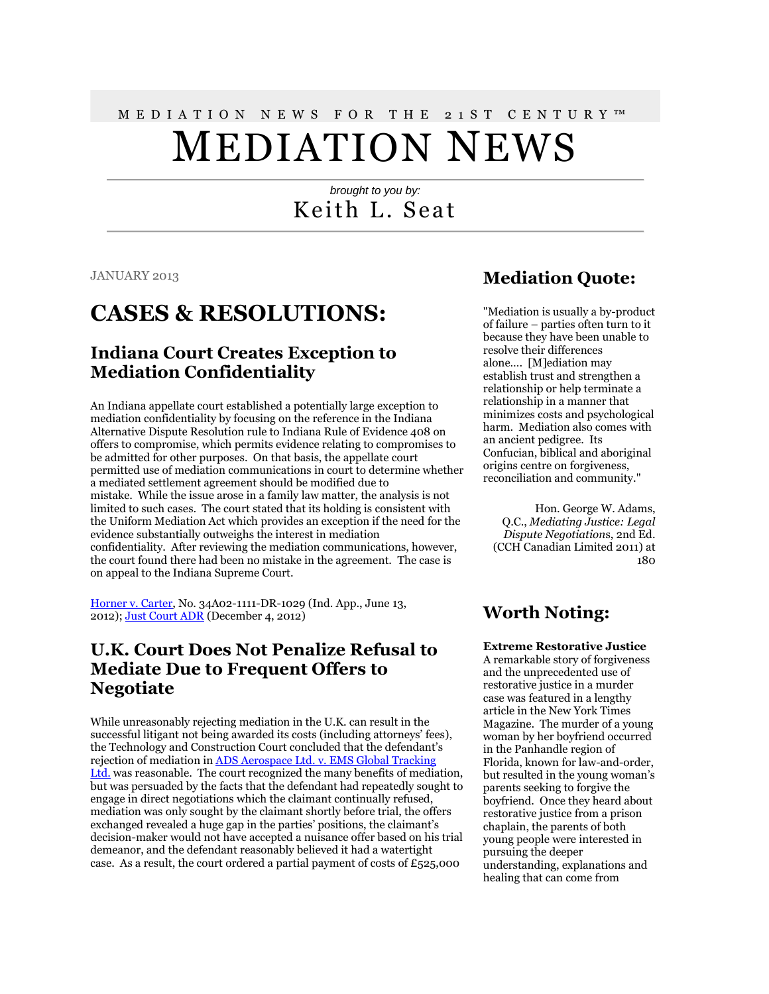# M E D I A T I O N N E W S F O R T H E 2 1 S T C E N T U R Y ™ MEDIATION NEWS

#### *brought to you by:* Keith L. Seat

JANUARY 2013

### **CASES & RESOLUTIONS:**

#### **Indiana Court Creates Exception to Mediation Confidentiality**

An Indiana appellate court established a potentially large exception to mediation confidentiality by focusing on the reference in the Indiana Alternative Dispute Resolution rule to Indiana Rule of Evidence 408 on offers to compromise, which permits evidence relating to compromises to be admitted for other purposes. On that basis, the appellate court permitted use of mediation communications in court to determine whether a mediated settlement agreement should be modified due to mistake. While the issue arose in a family law matter, the analysis is not limited to such cases. The court stated that its holding is consistent with the Uniform Mediation Act which provides an exception if the need for the evidence substantially outweighs the interest in mediation confidentiality. After reviewing the mediation communications, however, the court found there had been no mistake in the agreement. The case is on appeal to the Indiana Supreme Court.

[Horner v. Carter,](http://www.in.gov/judiciary/opinions/pdf/06131202nhv.pdf) No. 34A02-1111-DR-1029 (Ind. App., June 13, 2012); [Just Court ADR](http://blog.aboutrsi.org/2012/court-opinions/indiana-court-pierces-mediation-confidentiality-for-possible-error/) (December 4, 2012)

#### **U.K. Court Does Not Penalize Refusal to Mediate Due to Frequent Offers to Negotiate**

While unreasonably rejecting mediation in the U.K. can result in the successful litigant not being awarded its costs (including attorneys' fees), the Technology and Construction Court concluded that the defendant's rejection of mediation in [ADS Aerospace Ltd. v. EMS Global Tracking](http://www.bailii.org/ew/cases/EWHC/TCC/2012/2904.html)  [Ltd.](http://www.bailii.org/ew/cases/EWHC/TCC/2012/2904.html) was reasonable. The court recognized the many benefits of mediation, but was persuaded by the facts that the defendant had repeatedly sought to engage in direct negotiations which the claimant continually refused, mediation was only sought by the claimant shortly before trial, the offers exchanged revealed a huge gap in the parties' positions, the claimant's decision-maker would not have accepted a nuisance offer based on his trial demeanor, and the defendant reasonably believed it had a watertight case. As a result, the court ordered a partial payment of costs of £525,000

#### **Mediation Quote:**

"Mediation is usually a by-product of failure – parties often turn to it because they have been unable to resolve their differences alone…. [M]ediation may establish trust and strengthen a relationship or help terminate a relationship in a manner that minimizes costs and psychological harm. Mediation also comes with an ancient pedigree. Its Confucian, biblical and aboriginal origins centre on forgiveness, reconciliation and community."

Hon. George W. Adams, Q.C., *Mediating Justice: Legal Dispute Negotiation*s, 2nd Ed. (CCH Canadian Limited 2011) at 180

### **Worth Noting:**

**Extreme Restorative Justice** A remarkable story of forgiveness and the unprecedented use of restorative justice in a murder case was featured in a lengthy article in the New York Times Magazine. The murder of a young woman by her boyfriend occurred in the Panhandle region of Florida, known for law-and-order, but resulted in the young woman's parents seeking to forgive the boyfriend. Once they heard about restorative justice from a prison chaplain, the parents of both young people were interested in pursuing the deeper understanding, explanations and healing that can come from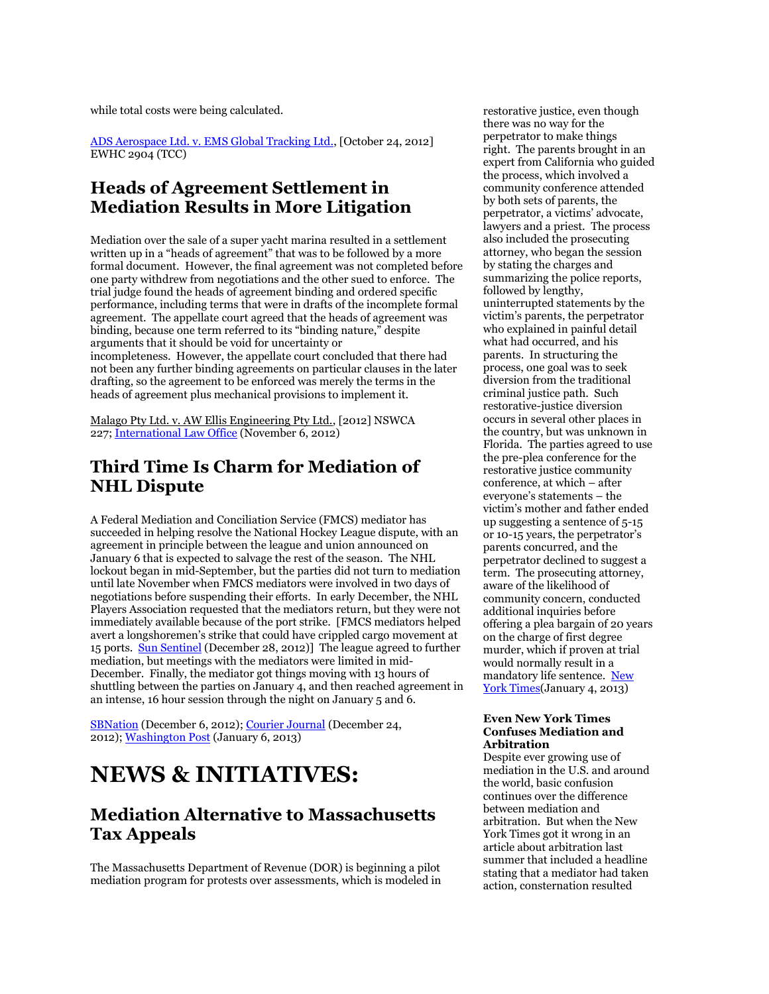while total costs were being calculated.

[ADS Aerospace Ltd. v. EMS Global Tracking Ltd.,](http://www.bailii.org/ew/cases/EWHC/TCC/2012/2904.html) [October 24, 2012] EWHC 2904 (TCC)

#### **Heads of Agreement Settlement in Mediation Results in More Litigation**

Mediation over the sale of a super yacht marina resulted in a settlement written up in a "heads of agreement" that was to be followed by a more formal document. However, the final agreement was not completed before one party withdrew from negotiations and the other sued to enforce. The trial judge found the heads of agreement binding and ordered specific performance, including terms that were in drafts of the incomplete formal agreement. The appellate court agreed that the heads of agreement was binding, because one term referred to its "binding nature," despite arguments that it should be void for uncertainty or incompleteness. However, the appellate court concluded that there had not been any further binding agreements on particular clauses in the later drafting, so the agreement to be enforced was merely the terms in the heads of agreement plus mechanical provisions to implement it.

Malago Pty Ltd. v. AW Ellis Engineering Pty Ltd., [2012] NSWCA 227; [International](http://www.internationallawoffice.com/newsletters/detail.aspx?g=ac139e2d-8125-4c2f-9e92-2ecd3595d016) Law Office (November 6, 2012)

#### **Third Time Is Charm for Mediation of NHL Dispute**

A Federal Mediation and Conciliation Service (FMCS) mediator has succeeded in helping resolve the National Hockey League dispute, with an agreement in principle between the league and union announced on January 6 that is expected to salvage the rest of the season. The NHL lockout began in mid-September, but the parties did not turn to mediation until late November when FMCS mediators were involved in two days of negotiations before suspending their efforts. In early December, the NHL Players Association requested that the mediators return, but they were not immediately available because of the port strike. [FMCS mediators helped avert a longshoremen's strike that could have crippled cargo movement at 15 ports. [Sun Sentinel](http://www.sun-sentinel.com/business/fl-longshoremen-strike-averted-20121228,0,7044724.story) (December 28, 2012)] The league agreed to further mediation, but meetings with the mediators were limited in mid-December. Finally, the mediator got things moving with 13 hours of shuttling between the parties on January 4, and then reached agreement in an intense, 16 hour session through the night on January 5 and 6.

[SBNation](http://www.sbnation.com/nhl/2012/12/6/3736646/nhl-lockout-2012-mediation-nhlpa-request) (December 6, 2012); [Courier Journal](http://www.courier-journal.com/usatoday/article/1587675&usatref=sportsmod) (December 24, 2012); [Washington Post](http://www.washingtonpost.com/sports/capitals/federal-mediator-helps-turn-final-48-hours-of-nhl-labor-fight-into-new-deal/2013/01/06/78347afa-5851-11e2-b8b2-0d18a64c8dfa_story.html) (January 6, 2013)

## **NEWS & INITIATIVES:**

#### **Mediation Alternative to Massachusetts Tax Appeals**

The Massachusetts Department of Revenue (DOR) is beginning a pilot mediation program for protests over assessments, which is modeled in

restorative justice, even though there was no way for the perpetrator to make things right. The parents brought in an expert from California who guided the process, which involved a community conference attended by both sets of parents, the perpetrator, a victims' advocate, lawyers and a priest. The process also included the prosecuting attorney, who began the session by stating the charges and summarizing the police reports, followed by lengthy, uninterrupted statements by the victim's parents, the perpetrator who explained in painful detail what had occurred, and his parents. In structuring the process, one goal was to seek diversion from the traditional criminal justice path. Such restorative-justice diversion occurs in several other places in the country, but was unknown in Florida. The parties agreed to use the pre-plea conference for the restorative justice community conference, at which – after everyone's statements – the victim's mother and father ended up suggesting a sentence of 5-15 or 10-15 years, the perpetrator's parents concurred, and the perpetrator declined to suggest a term. The prosecuting attorney, aware of the likelihood of community concern, conducted additional inquiries before offering a plea bargain of 20 years on the charge of first degree murder, which if proven at trial would normally result in a mandatory life sentence. [New](http://www.nytimes.com/2013/01/06/magazine/can-forgiveness-play-a-role-in-criminal-justice.html?_r=0)  [York Times\(](http://www.nytimes.com/2013/01/06/magazine/can-forgiveness-play-a-role-in-criminal-justice.html?_r=0)January 4, 2013)

#### **Even New York Times Confuses Mediation and Arbitration**

Despite ever growing use of mediation in the U.S. and around the world, basic confusion continues over the difference between mediation and arbitration. But when the New York Times got it wrong in an article about arbitration last summer that included a headline stating that a mediator had taken action, consternation resulted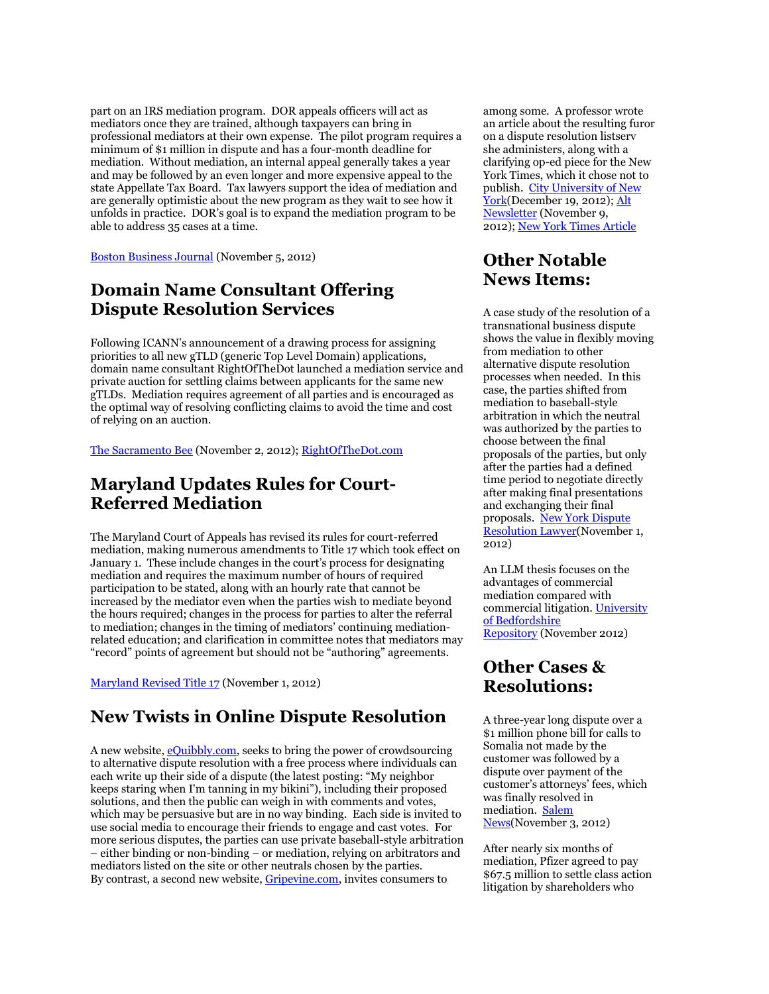part on an IRS mediation program. DOR appeals officers will act as mediators once they are trained, although taxpayers can bring in professional mediators at their own expense. The pilot program requires a minimum of \$1 million in dispute and has a four-month deadline for mediation. Without mediation, an internal appeal generally takes a year and may be followed by an even longer and more expensive appeal to the state Appellate Tax Board. Tax lawyers support the idea of mediation and are generally optimistic about the new program as they wait to see how it unfolds in practice. DOR's goal is to expand the mediation program to be able to address 35 cases at a time.

[Boston Business Journal](http://www.masslive.com/business-news/index.ssf/2012/11/massachusetts_department_of_revenue_laun.html) (November 5, 2012)

#### **Domain Name Consultant Offering Dispute Resolution Services**

Following ICANN's announcement of a drawing process for assigning priorities to all new gTLD (generic Top Level Domain) applications, domain name consultant RightOfTheDot launched a mediation service and private auction for settling claims between applicants for the same new gTLDs. Mediation requires agreement of all parties and is encouraged as the optimal way of resolving conflicting claims to avoid the time and cost of relying on an auction.

[The Sacramento Bee](http://www.sacbee.com/2012/11/02/4957103/right-of-the-dot-rotd-teams-up.html) (November 2, 2012); [RightOfTheDot.com](http://rightofthedot.com/)

#### **Maryland Updates Rules for Court-Referred Mediation**

The Maryland Court of Appeals has revised its rules for court-referred mediation, making numerous amendments to Title 17 which took effect on January 1. These include changes in the court's process for designating mediation and requires the maximum number of hours of required participation to be stated, along with an hourly rate that cannot be increased by the mediator even when the parties wish to mediate beyond the hours required; changes in the process for parties to alter the referral to mediation; changes in the timing of mediators' continuing mediationrelated education; and clarification in committee notes that mediators may "record" points of agreement but should not be "authoring" agreements.

[Maryland Revised Title 17](http://www.courts.state.md.us/macro/pdfs/201301title17scanned.pdf) (November 1, 2012)

#### **New Twists in Online Dispute Resolution**

A new website, [eQuibbly.com,](http://www.equibbly.com/) seeks to bring the power of crowdsourcing to alternative dispute resolution with a free process where individuals can each write up their side of a dispute (the latest posting: "My neighbor keeps staring when I'm tanning in my bikini"), including their proposed solutions, and then the public can weigh in with comments and votes, which may be persuasive but are in no way binding. Each side is invited to use social media to encourage their friends to engage and cast votes. For more serious disputes, the parties can use private baseball-style arbitration – either binding or non-binding – or mediation, relying on arbitrators and mediators listed on the site or other neutrals chosen by the parties. By contrast, a second new website, [Gripevine.com,](http://www.gripevine.com/) invites consumers to

among some. A professor wrote an article about the resulting furor on a dispute resolution listserv she administers, along with a clarifying op-ed piece for the New York Times, which it chose not to publish. [City University of New](http://www1.cuny.edu/mu/forum/2012/12/19/professor-maria-volpe%E2%80%99s-article-on-mediation-receives-international-recognition/)  [York\(](http://www1.cuny.edu/mu/forum/2012/12/19/professor-maria-volpe%E2%80%99s-article-on-mediation-receives-international-recognition/)December 19, 2012); Alt [Newsletter](http://www.altnewsletter.com/sample-articles/mediation-remains-elusive-in-public-discourse-despite-its-ubiquity.aspx) (November 9, 2012); [New York Times Article](http://bit.ly/SnO0Fr)

#### **Other Notable News Items:**

A case study of the resolution of a transnational business dispute shows the value in flexibly moving from mediation to other alternative dispute resolution processes when needed. In this case, the parties shifted from mediation to baseball-style arbitration in which the neutral was authorized by the parties to choose between the final proposals of the parties, but only after the parties had a defined time period to negotiate directly after making final presentations and exchanging their final proposals. [New York Dispute](http://www.goodlawfirm.com/attorney/wp-content/uploads/2012/10/Roytberg-pB-Fall-2012-issue-of-NYSBA-New-York-Dispute-Resolution-Lawyer-SKT-Oct-26-2012.pdf#page=77)  [Resolution Lawyer\(](http://www.goodlawfirm.com/attorney/wp-content/uploads/2012/10/Roytberg-pB-Fall-2012-issue-of-NYSBA-New-York-Dispute-Resolution-Lawyer-SKT-Oct-26-2012.pdf#page=77)November 1, 2012)

An LLM thesis focuses on the advantages of commercial mediation compared with commercial litigation. [University](http://uobrep.openrepository.com/uobrep/handle/10547/252415)  [of Bedfordshire](http://uobrep.openrepository.com/uobrep/handle/10547/252415)  [Repository](http://uobrep.openrepository.com/uobrep/handle/10547/252415) (November 2012)

#### **Other Cases & Resolutions:**

A three-year long dispute over a \$1 million phone bill for calls to Somalia not made by the customer was followed by a dispute over payment of the customer's attorneys' fees, which was finally resolved in mediation. [Salem](http://www.salemnews.com/local/x121540746/After-hangups-suit-over-1-million-phone-bill-settled)  [News\(](http://www.salemnews.com/local/x121540746/After-hangups-suit-over-1-million-phone-bill-settled)November 3, 2012)

After nearly six months of mediation, Pfizer agreed to pay \$67.5 million to settle class action litigation by shareholders who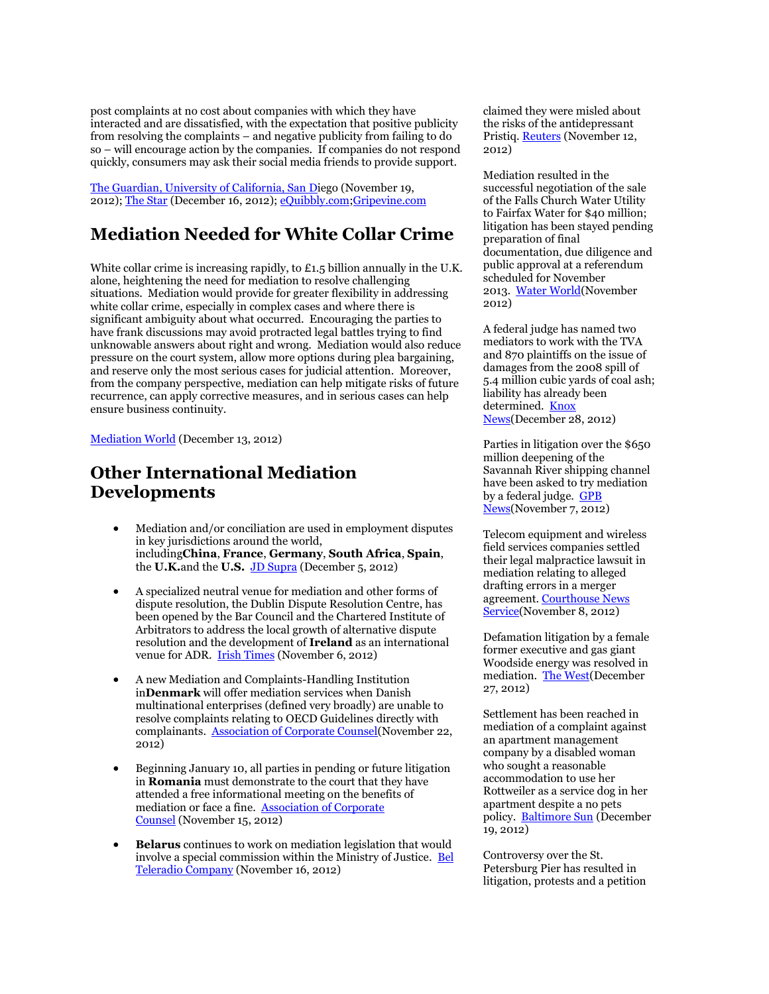post complaints at no cost about companies with which they have interacted and are dissatisfied, with the expectation that positive publicity from resolving the complaints – and negative publicity from failing to do so – will encourage action by the companies. If companies do not respond quickly, consumers may ask their social media friends to provide support.

[The Guardian, University of California, San Di](http://www.ucsdguardian.org/news-and-features/features/item/26117-in-cyberspace-the-gavel-falls-on-minor-disputes#.ULjTstPjnXE)ego (November 19, 2012); [The Star](http://www.thestar.com/living/technology/article/1303001--online-dispute-resolution-takes-off) (December 16, 2012); [eQuibbly.com;](http://www.equibbly.com/)[Gripevine.com](http://www.gripevine.com/)

#### **Mediation Needed for White Collar Crime**

White collar crime is increasing rapidly, to £1.5 billion annually in the U.K. alone, heightening the need for mediation to resolve challenging situations. Mediation would provide for greater flexibility in addressing white collar crime, especially in complex cases and where there is significant ambiguity about what occurred. Encouraging the parties to have frank discussions may avoid protracted legal battles trying to find unknowable answers about right and wrong. Mediation would also reduce pressure on the court system, allow more options during plea bargaining, and reserve only the most serious cases for judicial attention. Moreover, from the company perspective, mediation can help mitigate risks of future recurrence, can apply corrective measures, and in serious cases can help ensure business continuity.

[Mediation World](http://www.mediationworld.net/uk-englandandwales/articles/full/1972.html) (December 13, 2012)

#### **Other International Mediation Developments**

- Mediation and/or conciliation are used in employment disputes in key jurisdictions around the world, including**China**, **France**, **Germany**, **South Africa**, **Spain**, the **U.K.**and the **U.S.** [JD Supra](http://www.jdsupra.com/legalnews/international-workplace-dispute-practice-02014/) (December 5, 2012)
- A specialized neutral venue for mediation and other forms of dispute resolution, the Dublin Dispute Resolution Centre, has been opened by the Bar Council and the Chartered Institute of Arbitrators to address the local growth of alternative dispute resolution and the development of **Ireland** as an international venue for ADR. [Irish Times](http://www.irishtimes.com/newspaper/finance/2012/1105/1224326142218.html) (November 6, 2012)
- A new Mediation and Complaints-Handling Institution in**Denmark** will offer mediation services when Danish multinational enterprises (defined very broadly) are unable to resolve complaints relating to OECD Guidelines directly with complainants. [Association of Corporate Counsel\(](http://www.lexology.com/library/detail.aspx?g=2db65af7-e73e-4dae-a145-1558409371dd)November 22, 2012)
- Beginning January 10, all parties in pending or future litigation in **Romania** must demonstrate to the court that they have attended a free informational meeting on the benefits of mediation or face a fine. **Association of Corporate** [Counsel](http://www.lexology.com/library/detail.aspx?g=61341cc1-d3bb-4eaf-98dc-094ebd153283) (November 15, 2012)
- **Belarus** continues to work on mediation legislation that would involve a special commission within the Ministry of Justice. [Bel](http://www.tvr.by/eng/politics.asp?id=78153)  [Teleradio Company](http://www.tvr.by/eng/politics.asp?id=78153) (November 16, 2012)

claimed they were misled about the risks of the antidepressant Pristiq. [Reuters](http://www.reuters.com/article/2012/11/12/us-pfizer-pristiq-idUSBRE8AB0NZ20121112) (November 12, 2012)

Mediation resulted in the successful negotiation of the sale of the Falls Church Water Utility to Fairfax Water for \$40 million; litigation has been stayed pending preparation of final documentation, due diligence and public approval at a referendum scheduled for November 2013. [Water World\(](http://www.waterworld.com/news/2012/11/22/virginia-mediation-leads-to-three-way-settlement-of-water-disputes-and-win-win-for-water-customers.html)November 2012)

A federal judge has named two mediators to work with the TVA and 870 plaintiffs on the issue of damages from the 2008 spill of 5.4 million cubic yards of coal ash; liability has already been determined. Knox [News\(](http://www.knoxnews.com/news/2012/dec/28/knoxville-lawyer-pamela-reeves-to-mediate-in-tva/)December 28, 2012)

Parties in litigation over the \$650 million deepening of the Savannah River shipping channel have been asked to try mediation by a federal judge. [GPB](http://www.gpb.org/news/2012/11/07/new-mediation-in-river-dredge-suit)  [News\(](http://www.gpb.org/news/2012/11/07/new-mediation-in-river-dredge-suit)November 7, 2012)

Telecom equipment and wireless field services companies settled their legal malpractice lawsuit in mediation relating to alleged drafting errors in a merger agreement. [Courthouse News](http://www.courthousenews.com/2012/11/08/52120.htm) [Service\(](http://www.courthousenews.com/2012/11/08/52120.htm)November 8, 2012)

Defamation litigation by a female former executive and gas giant Woodside energy was resolved in mediation. [The West\(](http://au.news.yahoo.com/thewest/a/-/breaking/15717556/woodside-defamation-dispute-resolved/)December 27, 2012)

Settlement has been reached in mediation of a complaint against an apartment management company by a disabled woman who sought a reasonable accommodation to use her Rottweiler as a service dog in her apartment despite a no pets policy. [Baltimore Sun](http://articles.baltimoresun.com/2012-12-19/news/bs-md-ho-rottweiler-resolution-20121217_1_deaths-from-dog-bites-service-dog-pit-bulls) (December 19, 2012)

Controversy over the St. Petersburg Pier has resulted in litigation, protests and a petition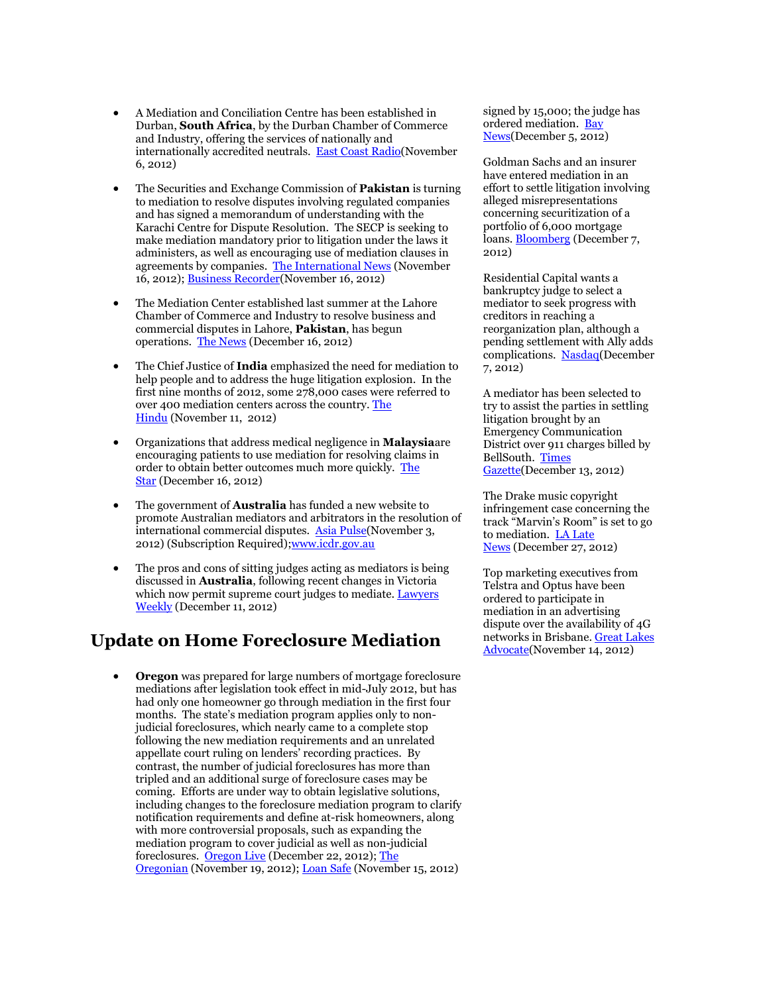- A Mediation and Conciliation Centre has been established in Durban, **South Africa**, by the Durban Chamber of Commerce and Industry, offering the services of nationally and internationally accredited neutrals. [East Coast Radio\(](http://www.ecr.co.za/kagiso/content/en/east-coast-radio/east-coast-radio-news?oid=1771701&sn=Detail&pid=490476&Mediation-centre-launched-in-Durban)November 6, 2012)
- The Securities and Exchange Commission of **Pakistan** is turning to mediation to resolve disputes involving regulated companies and has signed a memorandum of understanding with the Karachi Centre for Dispute Resolution. The SECP is seeking to make mediation mandatory prior to litigation under the laws it administers, as well as encouraging use of mediation clauses in agreements by companies. [The International News](http://www.thenews.com.pk/Todays-News-3-143068-SECP-KCDR-sign-agreement) (November 16, 2012); [Business Recorder\(](http://www.brecorder.com/market-data/stocks-a-bonds/0/1258771/)November 16, 2012)
- The Mediation Center established last summer at the Lahore Chamber of Commerce and Industry to resolve business and commercial disputes in Lahore, **Pakistan**, has begun operations. [The News](http://www.thenews.com.pk/Todays-News-3-148573-LCCI-Mediation-Centre-operationalised) (December 16, 2012)
- The Chief Justice of **India** emphasized the need for mediation to help people and to address the huge litigation explosion. In the first nine months of 2012, some 278,000 cases were referred to over 400 mediation centers across the country. [The](http://www.thehindu.com/news/national/mediation-only-way-out-of-docket-explosion-says-cji/article4085765.ece)  [Hindu](http://www.thehindu.com/news/national/mediation-only-way-out-of-docket-explosion-says-cji/article4085765.ece) (November 11, 2012)
- Organizations that address medical negligence in **Malaysia**are encouraging patients to use mediation for resolving claims in order to obtain better outcomes much more quickly. [The](http://thestar.com.my/health/story.asp?file=/2012/12/16/health/12288851&sec=health)  [Star](http://thestar.com.my/health/story.asp?file=/2012/12/16/health/12288851&sec=health) (December 16, 2012)
- The government of **Australia** has funded a new website to promote Australian mediators and arbitrators in the resolution of international commercial disputes. [Asia Pulse\(](http://tinyurl.com/afrlcp5)November 3, 2012) (Subscription Required); www.icdr.gov.au
- The pros and cons of sitting judges acting as mediators is being discussed in **Australia**, following recent changes in Victoria which now permit supreme court judges to mediate. Lawyers [Weekly](http://www.lawyersweekly.com.au/opinion/judging-mediation) (December 11, 2012)

#### **Update on Home Foreclosure Mediation**

 **Oregon** was prepared for large numbers of mortgage foreclosure mediations after legislation took effect in mid-July 2012, but has had only one homeowner go through mediation in the first four months. The state's mediation program applies only to nonjudicial foreclosures, which nearly came to a complete stop following the new mediation requirements and an unrelated appellate court ruling on lenders' recording practices. By contrast, the number of judicial foreclosures has more than tripled and an additional surge of foreclosure cases may be coming. Efforts are under way to obtain legislative solutions, including changes to the foreclosure mediation program to clarify notification requirements and define at-risk homeowners, along with more controversial proposals, such as expanding the mediation program to cover judicial as well as non-judicial foreclosures. [Oregon Live](http://www.oregonlive.com/front-porch/index.ssf/2012/12/legislature_supreme_court_face.html) (December 22, 2012); The [Oregonian](http://www.oregonlive.com/opinion/index.ssf/2012/11/debate_over_mers_foreclosure_m.html) (November 19, 2012); [Loan Safe](http://www.loansafe.org/oregon-foreclosure-mediation-program-showing-little-results) (November 15, 2012)

signed by 15,000; the judge has ordered mediation. [Bay](http://www.baynews9.com/content/news/baynews9/news/article.html/content/news/articles/bn9/2012/12/5/judge_orders_mediati.html)  [News\(](http://www.baynews9.com/content/news/baynews9/news/article.html/content/news/articles/bn9/2012/12/5/judge_orders_mediati.html)December 5, 2012)

Goldman Sachs and an insurer have entered mediation in an effort to settle litigation involving alleged misrepresentations concerning securitization of a portfolio of 6,000 mortgage loans. [Bloomberg](http://www.bloomberg.com/news/2012-12-07/goldman-in-mediation-with-cifg-to-settle-mortgage-suit.html) (December 7, 2012)

Residential Capital wants a bankruptcy judge to select a mediator to seek progress with creditors in reaching a reorganization plan, although a pending settlement with Ally adds complications. [Nasdaq\(](http://www.nasdaq.com/article/rescap-wants-mediator-to-break-logjam-in-creditor-negotiations-20121207-00522#.UMtv3XPjnXE)December 7, 2012)

A mediator has been selected to try to assist the parties in settling litigation brought by an Emergency Communication District over 911 charges billed by BellSouth. [Times](http://www.t-g.com/story/1922376.html)  [Gazette\(](http://www.t-g.com/story/1922376.html)December 13, 2012)

The Drake music copyright infringement case concerning the track "Marvin's Room" is set to go to mediation. [LA Late](http://news.lalate.com/2012/12/27/drake-music-lawsuit-heads-to-mediation-exclusive/)  [News](http://news.lalate.com/2012/12/27/drake-music-lawsuit-heads-to-mediation-exclusive/) (December 27, 2012)

Top marketing executives from Telstra and Optus have been ordered to participate in mediation in an advertising dispute over the availability of 4G networks in Brisbane. [Great Lakes](http://www.greatlakesadvocate.com.au/story/1120901/telstra-and-optus-go-to-mediation-over-4g-row/?cs=9)  [Advocate\(](http://www.greatlakesadvocate.com.au/story/1120901/telstra-and-optus-go-to-mediation-over-4g-row/?cs=9)November 14, 2012)